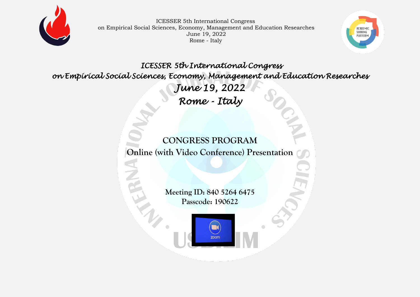



 *ICESSER 5th International Congress on Empirical Social Sciences, Economy, Management and Education Researches June 19, 2022 Rome - Italy* 

> **CONGRESS PROGRAM Online (with Video Conference) Presentation**

> > **Meeting ID: 840 5264 6475 Passcode: 190622**

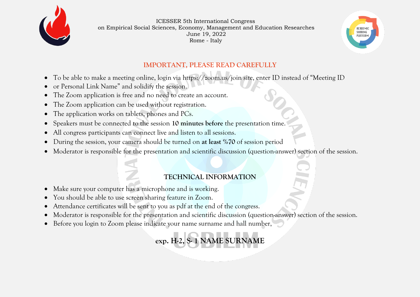



#### **IMPORTANT, PLEASE READ CAREFULLY**

- To be able to make a meeting online, login via https://zoom.us/join site, enter ID instead of "Meeting ID
- or Personal Link Name" and solidify the session.
- The Zoom application is free and no need to create an account.
- The Zoom application can be used without registration.
- The application works on tablets, phones and PCs.
- Speakers must be connected to the session **10 minutes before** the presentation time.
- All congress participants can connect live and listen to all sessions.
- During the session, your camera should be turned on **at least %70** of session period
- Moderator is responsible for the presentation and scientific discussion (question-answer) section of the session.

### **TECHNICAL INFORMATION**

- Make sure your computer has a microphone and is working.
- You should be able to use screen sharing feature in Zoom.
- Attendance certificates will be sent to you as pdf at the end of the congress.
- Moderator is responsible for the presentation and scientific discussion (question-answer) section of the session.
- Before you login to Zoom please indicate your name surname and hall number,

**exp. H-2, S- 1 NAME SURNAME**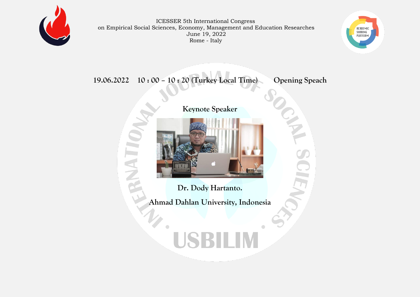



**19.06.2022 10 : 00 – 10 : 20 (Turkey Local Time) Opening Speach**



**NATIVATI** 

**Dr. Dody Hartanto.**

**Ahmad Dahlan University, Indonesia**

# SBILIM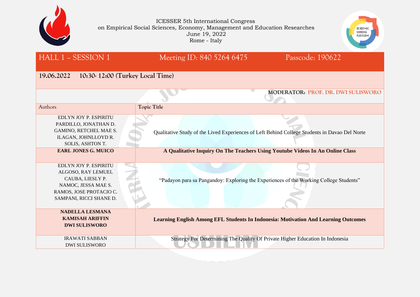



| HALL 1 – SESSION 1 |  |
|--------------------|--|
|                    |  |

# Meeting ID: 840 5264 6475 Passcode: 190622

#### **19.06.2022 10:30- 12:00 (Turkey Local Time)**

|                                                                                                                                              | MODERATOR: PROF. DR. DWI SULISWORO                                                            |
|----------------------------------------------------------------------------------------------------------------------------------------------|-----------------------------------------------------------------------------------------------|
| Authors                                                                                                                                      | <b>Topic Title</b>                                                                            |
| EDLYN JOY P. ESPIRITU<br>PARDILLO, JONATHAN D.<br>GAMINO, RETCHEL MAE S.<br>ILAGAN, JOHNLLOYD R.<br>SOLIS, ASHTON T.                         | Qualitative Study of the Lived Experiences of Left Behind College Students in Davao Del Norte |
| <b>EARL JONES G. MUICO</b>                                                                                                                   | A Qualitative Inquiry On The Teachers Using Youtube Videos In An Online Class                 |
| EDLYN JOY P. ESPIRITU<br>ALGOSO, RAY LEMUEL<br>CAUBA, LIESLY P.<br>NAMOC, JESSA MAE S.<br>RAMOS, JOSE PROTACIO C.<br>SAMPANI, RICCI SHANE D. | "Padayon para sa Pangandoy: Exploring the Experiences of the Working College Students"        |
| <b>NADELLA LESMANA</b><br><b>KAMISAH ARIFFIN</b><br><b>DWI SULISWORO</b>                                                                     | <b>Learning English Among EFL Students In Indonesia: Motivation And Learning Outcomes</b>     |
| <b>IRAWATI SABBAN</b><br><b>DWI SULISWORO</b>                                                                                                | Strategy For Determining The Quality Of Private Higher Education In Indonesia                 |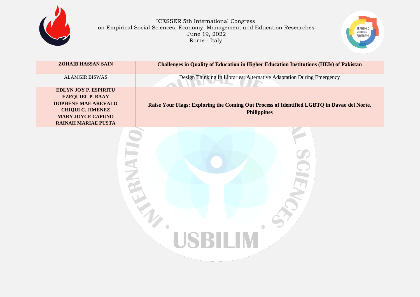



| <b>ZOHAIB HASSAN SAIN</b>                                                                                                                                                   | <b>Challenges in Quality of Education in Higher Education Institutions (HEIs) of Pakistan</b>                    |
|-----------------------------------------------------------------------------------------------------------------------------------------------------------------------------|------------------------------------------------------------------------------------------------------------------|
| <b>ALAMGIR BISWAS</b>                                                                                                                                                       | Design Thinking In Libraries: Alternative Adaptation During Emergency                                            |
| <b>EDLYN JOY P. ESPIRITU</b><br><b>EZEQUIEL P. BAAY</b><br><b>DOPHENE MAE AREVALO</b><br><b>CHIQUI C. JIMENEZ</b><br><b>MARY JOYCE CAPUNO</b><br><b>RAINAH MARIAE PUSTA</b> | Raise Your Flags: Exploring the Coming Out Process of Identified LGBTQ in Davao del Norte,<br><b>Philippines</b> |
|                                                                                                                                                                             |                                                                                                                  |

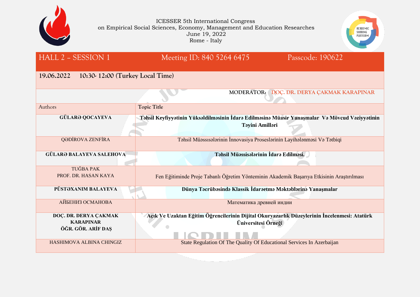



# HALL 2 – SESSION 1 Meeting ID: 840 5264 6475 Passcode: 190622

### **19.06.2022 10:30- 12:00 (Turkey Local Time)**

|                                                                 | MODERATOR: DOC. DR. DERYA ÇAKMAK KARAPINAR                                                                                |
|-----------------------------------------------------------------|---------------------------------------------------------------------------------------------------------------------------|
| Authors                                                         | <b>Topic Title</b>                                                                                                        |
| <b>GÜLARƏ QOCAYEVA</b>                                          | Təhsil Keyfiyyətinin Yüksəldilməsinin İdarə Edilməsinə Müasir Yanaşmalar Və Mövcud Vəziyyətinin<br><b>Təyini Amilləri</b> |
| QƏDİROVA ZENFİRA                                                | Tahsil Müəssisələrinin İnnovasiya Proseslərinin Layihələnməsi Və Tatbiqi                                                  |
| <b>GÜLARƏ BALAYEVA SALEHOVA-</b>                                | Təhsil Müəssisələrinin İdarə Edilməsi.                                                                                    |
| <b>TUĞBA PAK</b>                                                |                                                                                                                           |
| PROF. DR. HASAN KAYA                                            | Fen Eğitiminde Proje Tabanlı Öğretim Yönteminin Akademik Başarıya Etkisinin Araştırılması                                 |
| PÜSTƏXANIM BALAYEVA                                             | Dünya Təcrübəsində Klassik İdarəetmə Məktəblərinə Yanaşmalar                                                              |
| АЙБЕНИЗ ОСМАНОВА                                                | Математика древней индии                                                                                                  |
| DOÇ. DR. DERYA ÇAKMAK<br><b>KARAPINAR</b><br>ÖĞR. GÖR. ARİF DAŞ | Açık Ve Uzaktan Eğitim Öğrencilerinin Dijital Okuryazarlık Düzeylerinin İncelenmesi: Atatürk<br>Üniversitesi Örneği       |
| HASHIMOVA ALBINA CHINGIZ                                        | State Regulation Of The Quality Of Educational Services In Azerbaijan                                                     |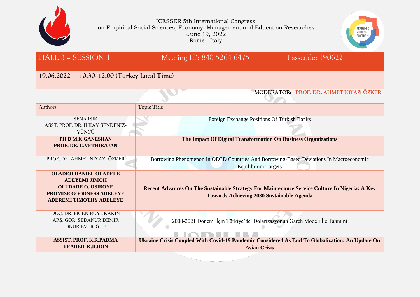



| HALL 3 - SESSION 1                                                                                                                                      | Meeting ID: 840 5264 6475                                                                                                                         | Passcode: 190622                        |
|---------------------------------------------------------------------------------------------------------------------------------------------------------|---------------------------------------------------------------------------------------------------------------------------------------------------|-----------------------------------------|
| 19.06.2022<br>10:30-12:00 (Turkey Local Time)                                                                                                           |                                                                                                                                                   |                                         |
|                                                                                                                                                         |                                                                                                                                                   | MODERATOR: PROF. DR. AHMET NİYAZİ ÖZKER |
| Authors                                                                                                                                                 | <b>Topic Title</b>                                                                                                                                |                                         |
| <b>SENA ISIK</b><br>ASST. PROF. DR. İLKAY ŞENDENİZ-<br>YÜNCÜ                                                                                            | Foreign Exchange Positions Of Turkish Banks                                                                                                       |                                         |
| PH.D M.K.GANESHAN<br>PROF. DR. C.VETHIRAJAN                                                                                                             | The Impact Of Digital Transformation On Business Organizations                                                                                    |                                         |
| PROF. DR. AHMET NİYAZİ ÖZKER                                                                                                                            | Borrowing Phenomenon In OECD Countries And Borrowing-Based Deviations In Macroeconomic<br><b>Equilibrium Targets</b>                              |                                         |
| <b>OLADEJI DANIEL OLADELE</b><br><b>ADEYEMI JIMOH</b><br><b>OLUDARE O. OSIBOYE</b><br><b>PROMISE GOODNESS ADELEYE</b><br><b>ADEREMI TIMOTHY ADELEYE</b> | Recent Advances On The Sustainable Strategy For Maintenance Service Culture In Nigeria: A Key<br><b>Towards Achieving 2030 Sustainable Agenda</b> |                                         |
| DOÇ. DR. FİGEN BÜYÜKAKIN<br>ARŞ. GÖR. SEDANUR DEMİR<br>ONUR EVLİOĞLU                                                                                    | 2000-2021 Dönemi İçin Türkiye'de Dolarizasyonun Garch Modeli İle Tahmini                                                                          |                                         |
| <b>ASSIST. PROF. K.R.PADMA</b><br><b>READER, K.R.DON</b>                                                                                                | Ukraine Crisis Coupled With Covid-19 Pandemic Considered As End To Globalization: An Update On<br><b>Asian Crisis</b>                             |                                         |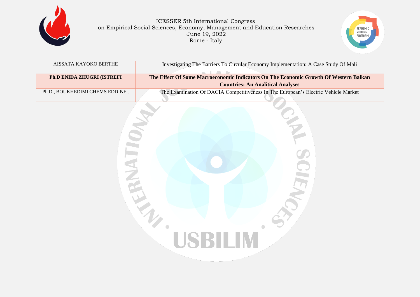



| AISSATA KAYOKO BERTHE              | Investigating The Barriers To Circular Economy Implementation: A Case Study Of Mali  |  |
|------------------------------------|--------------------------------------------------------------------------------------|--|
|                                    |                                                                                      |  |
| <b>Ph.D ENIDA ZHUGRI (ISTREFI)</b> | The Effect Of Some Macroeconomic Indicators On The Economic Growth Of Western Balkan |  |
|                                    | <b>Countries: An Analitical Analyses</b>                                             |  |
|                                    |                                                                                      |  |
| Ph.D., BOUKHEDIMI CHEMS EDDINE     | The Examination Of DACIA Competitiveness In The European's Electric Vehicle Market   |  |

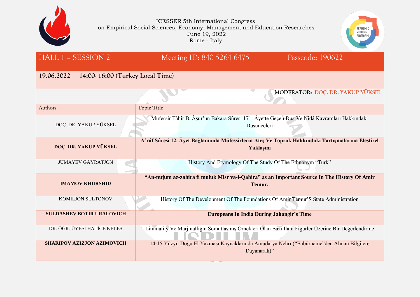



| HALL 1 - SESSION 2                            | Meeting ID: 840 5264 6475<br>Passcode: 190622                                                                 |  |
|-----------------------------------------------|---------------------------------------------------------------------------------------------------------------|--|
| 14:00-16:00 (Turkey Local Time)<br>19.06.2022 |                                                                                                               |  |
|                                               | MODERATOR: DOC. DR. YAKUP YÜKSEL                                                                              |  |
| Authors                                       | <b>Topic Title</b>                                                                                            |  |
| DOÇ. DR. YAKUP YÜKSEL                         | Müfessir Tâhir B. Âşur'un Bakara Sûresi 171. Âyette Geçen Dua Ve Nidâ Kavramları Hakkındaki<br>Düşünceleri    |  |
| DOÇ. DR. YAKUP YÜKSEL                         | A'râf Sûresi 12. Âyet Bağlamında Müfessirlerin Ateş Ve Toprak Hakkındaki Tartışmalarına Eleştirel<br>Yaklaşım |  |
| <b>JUMAYEV GAYRATJON</b>                      | History And Etymology Of The Study Of The Ethnonym "Turk"                                                     |  |
| <b>IMAMOV KHURSHID</b>                        | "An-nujum az-zahira fi muluk Misr va-l-Qahira" as an Important Source In The History Of Amir<br>Temur.        |  |
| KOMILJON SULTONOV                             | History Of The Development Of The Foundations Of Amir Temur'S State Administration                            |  |
| YULDASHEV BOTIR URALOVICH                     | <b>Europeans In India During Jahangir's Time</b>                                                              |  |
| DR. ÖĞR. ÜYESİ HATİCE KELEŞ                   | Liminality Ve Marjinalliğin Somutlaşmış Örnekleri Olan Bazı İlahi Figürler Üzerine Bir Değerlendirme          |  |
| <b>SHARIPOV AZIZJON AZIMOVICH</b>             | 14-15 Yüzyıl Doğu El Yazması Kaynaklarında Amudarya Nehrı ("Babürname"den Alınan Bilgilere                    |  |

Dayanarak)"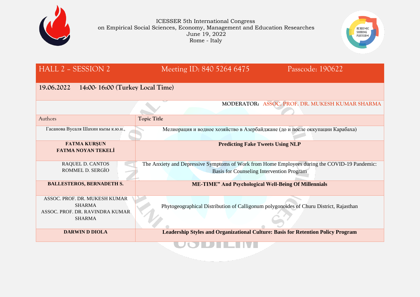



| <b>HALL 2 - SESSION 2</b>                                                                          | Meeting ID: 840 5264 6475                                                                                                                         | Passcode: 190622                                |  |
|----------------------------------------------------------------------------------------------------|---------------------------------------------------------------------------------------------------------------------------------------------------|-------------------------------------------------|--|
| 19.06.2022<br>$14:00-16:00$ (Turkey Local Time)                                                    |                                                                                                                                                   |                                                 |  |
|                                                                                                    |                                                                                                                                                   | MODERATOR: ASSOC. PROF. DR. MUKESH KUMAR SHARMA |  |
| Authors                                                                                            | <b>Topic Title</b>                                                                                                                                |                                                 |  |
| Гасанова Вусаля Шахин кызы к.ю.н.,                                                                 | Мелиорация и водное хозяйство в Азербайджане (до и после оккупации Карабаха)                                                                      |                                                 |  |
| <b>FATMA KURŞUN</b><br><b>FATMA NOYAN TEKELİ</b>                                                   | <b>Predicting Fake Tweets Using NLP</b>                                                                                                           |                                                 |  |
| <b>RAQUEL D. CANTOS</b><br>ROMMEL D. SERGİO                                                        | The Anxiety and Depressive Symptoms of Work from Home Employees during the COVID-19 Pandemic:<br><b>Basis for Counseling Intervention Program</b> |                                                 |  |
| <b>BALLESTEROS, BERNADETH S.</b>                                                                   | <b>ME-TIME" And Psychological Well-Being Of Millennials</b>                                                                                       |                                                 |  |
| ASSOC. PROF. DR. MUKESH KUMAR<br><b>SHARMA</b><br>ASSOC. PROF. DR. RAVINDRA KUMAR<br><b>SHARMA</b> | Phytogeographical Distribution of Calligonum polygonoides of Churu District, Rajasthan                                                            |                                                 |  |
| <b>DARWIN D DIOLA</b>                                                                              | <b>Leadership Styles and Organizational Culture: Basis for Retention Policy Program</b>                                                           |                                                 |  |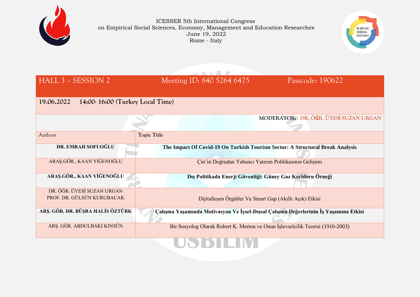



| HALL 3 - SESSION 2                                       | Meeting ID: 840 5264 6475                                                            | Passcode: 190622                                                               |
|----------------------------------------------------------|--------------------------------------------------------------------------------------|--------------------------------------------------------------------------------|
| 19.06.2022<br>14:00-16:00 (Turkey Local Time)            |                                                                                      |                                                                                |
|                                                          |                                                                                      | MODERATOR: DR. ÖĞR. ÜYESİ SUZAN URGAN                                          |
| Authors                                                  | <b>Topic Title</b>                                                                   |                                                                                |
| DR. EMRAH SOFUOĞLU                                       | The Impact Of Covid-19 On Turkish Tourism Sector: A Structural Break Analysis        |                                                                                |
| ARAŞ.GÖR., KAAN YİĞENOĞLU                                | Çin'in Doğrudan Yabancı Yatırım Politikasının Gelişimi                               |                                                                                |
| ARAŞ.GÖR., KAAN YİĞENOĞLU                                | Dış Politikada Enerji Güvenliği: Güney Gaz Koridoru Örneği                           |                                                                                |
| DR. ÖĞR. ÜYESİ SUZAN URGAN<br>PROF. DR. GÜLSÜN KURUBACAK | Dijitalleşen Örgütler Ve Smart Gap (Akıllı Açık) Etkisi                              |                                                                                |
| ARŞ. GÖR. DR. BÜŞRA HALİS ÖZTÜRK                         | Calışma Yaşamında Motivasyon Ve İçsel-Dışsal Çalışma Değerlerinin İş Yaşamına Etkisi |                                                                                |
| ARŞ. GÖR. ABDULBAKİ KINSÜN                               |                                                                                      | Bir Sosyolog Olarak Robert K. Merton ve Onun İşlevselcilik Teorisi (1910-2003) |